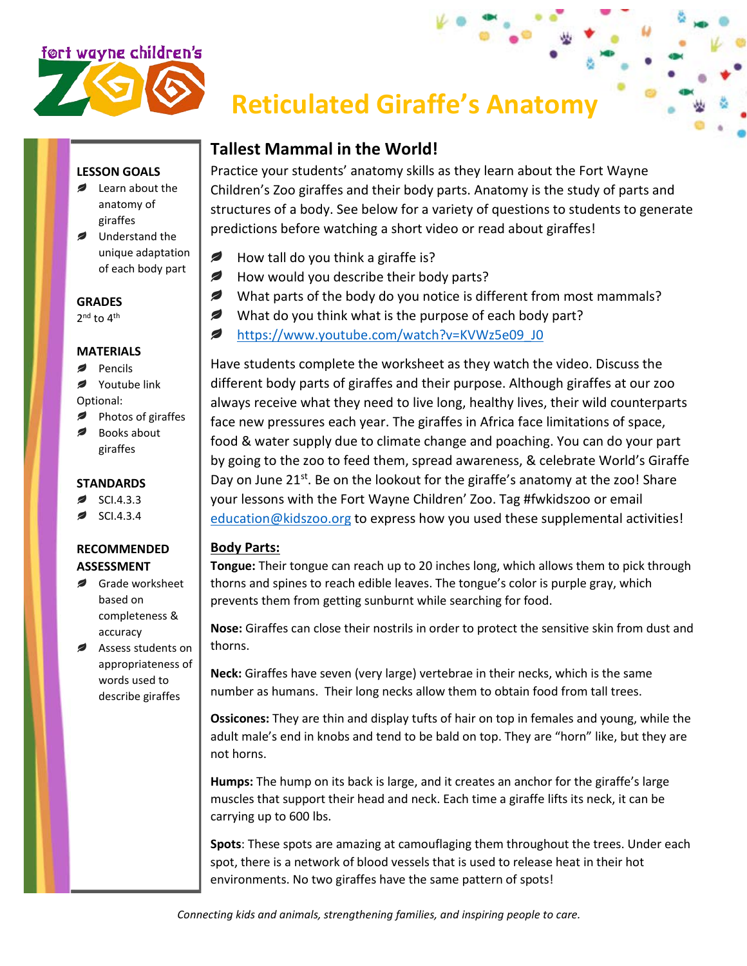# ført wayne children's

## **Reticulated Giraffe's Anatomy**

#### **LESSON GOALS**

- Learn about the anatomy of giraffes
- Understand the unique adaptation of each body part

#### **GRADES**

2<sup>nd</sup> to 4<sup>th</sup>

#### **MATERIALS**

- Pencils
- Youtube link
- Optional:
- Photos of giraffes Books about
- giraffes

#### **STANDARDS**

- SCI.4.3.3
- SCI.4.3.4

#### **RECOMMENDED ASSESSMENT**

- Grade worksheet based on completeness & accuracy
- Assess students on appropriateness of words used to describe giraffes

### **Tallest Mammal in the World!**

Practice your students' anatomy skills as they learn about the Fort Wayne Children's Zoo giraffes and their body parts. Anatomy is the study of parts and structures of a body. See below for a variety of questions to students to generate predictions before watching a short video or read about giraffes!

- Ø How tall do you think a giraffe is?
- ✍ How would you describe their body parts?
- *Ø* What parts of the body do you notice is different from most mammals?
- ℯ What do you think what is the purpose of each body part?
- ℯ [https://www.youtube.com/watch?v=KVWz5e09\\_J0](https://www.youtube.com/watch?v=KVWz5e09_J0)

Have students complete the worksheet as they watch the video. Discuss the different body parts of giraffes and their purpose. Although giraffes at our zoo always receive what they need to live long, healthy lives, their wild counterparts face new pressures each year. The giraffes in Africa face limitations of space, food & water supply due to climate change and poaching. You can do your part by going to the zoo to feed them, spread awareness, & celebrate World's Giraffe Day on June 21<sup>st</sup>. Be on the lookout for the giraffe's anatomy at the zoo! Share your lessons with the Fort Wayne Children' Zoo. Tag #fwkidszoo or email [education@kidszoo.org](mailto:education@kidszoo.org) to express how you used these supplemental activities!

#### **Body Parts:**

**Tongue:** Their tongue can reach up to 20 inches long, which allows them to pick through thorns and spines to reach edible leaves. The tongue's color is purple gray, which prevents them from getting sunburnt while searching for food.

**Nose:** Giraffes can close their nostrils in order to protect the sensitive skin from dust and thorns.

**Neck:** Giraffes have seven (very large) vertebrae in their necks, which is the same number as humans. Their long necks allow them to obtain food from tall trees.

**Ossicones:** They are thin and display tufts of hair on top in females and young, while the adult male's end in knobs and tend to be bald on top. They are "horn" like, but they are not horns.

**Humps:** The hump on its back is large, and it creates an anchor for the giraffe's large muscles that support their head and neck. Each time a giraffe lifts its neck, it can be carrying up to 600 lbs.

**Spots**: These spots are amazing at camouflaging them throughout the trees. Under each spot, there is a network of blood vessels that is used to release heat in their hot environments. No two giraffes have the same pattern of spots!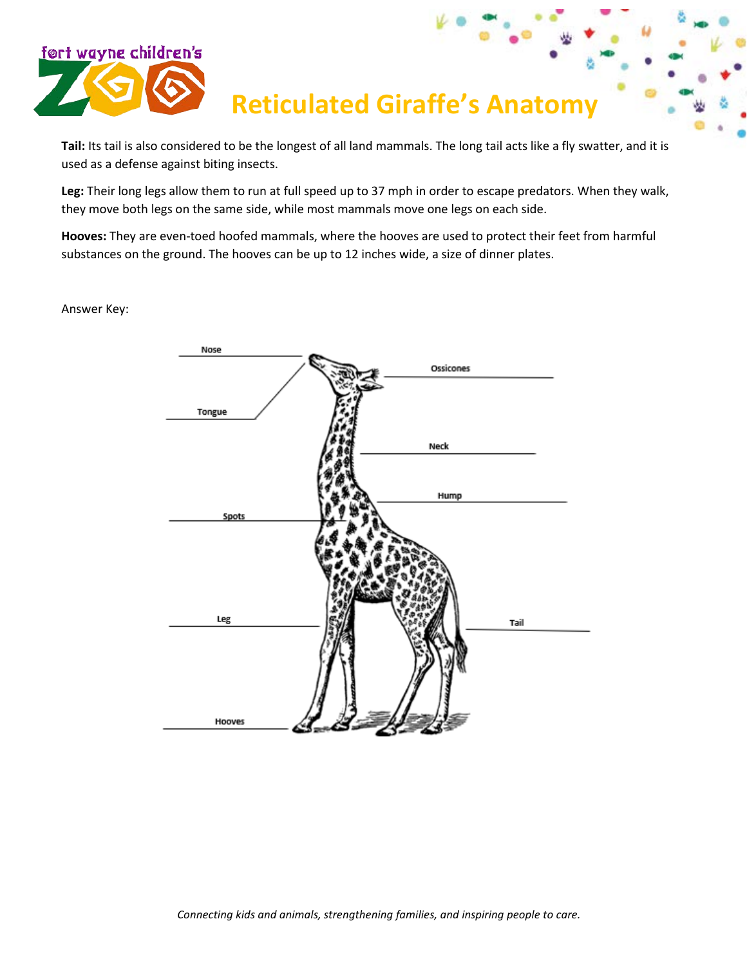

## **Reticulated Giraffe's Anatomy**

**Tail:** Its tail is also considered to be the longest of all land mammals. The long tail acts like a fly swatter, and it is used as a defense against biting insects.

**Leg:** Their long legs allow them to run at full speed up to 37 mph in order to escape predators. When they walk, they move both legs on the same side, while most mammals move one legs on each side.

**Hooves:** They are even-toed hoofed mammals, where the hooves are used to protect their feet from harmful substances on the ground. The hooves can be up to 12 inches wide, a size of dinner plates.

Answer Key: